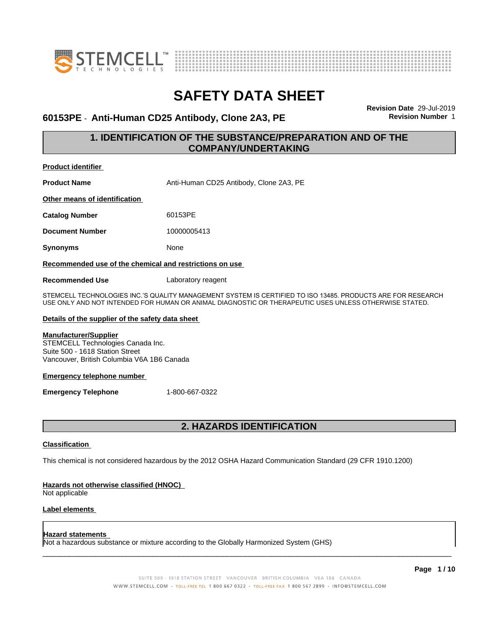



### **60153PE** - **Anti-Human CD25 Antibody, Clone 2A3, PE Revision Number** 1

**Revision Date** 29-Jul-2019

### **1. IDENTIFICATION OF THE SUBSTANCE/PREPARATION AND OF THE COMPANY/UNDERTAKING**

**Product identifier Product Name** Anti-Human CD25 Antibody, Clone 2A3, PE **Other means of identification Catalog Number** 60153PE **Document Number** 10000005413 **Synonyms** None **Recommended use of the chemical and restrictions on use Recommended Use** Laboratory reagent

STEMCELL TECHNOLOGIES INC.'S QUALITY MANAGEMENT SYSTEM IS CERTIFIED TO ISO 13485. PRODUCTS ARE FOR RESEARCH USE ONLY AND NOT INTENDED FOR HUMAN OR ANIMAL DIAGNOSTIC OR THERAPEUTIC USES UNLESS OTHERWISE STATED.

### **Details of the supplier of the safety data sheet**

### **Manufacturer/Supplier**

STEMCELL Technologies Canada Inc. Suite 500 - 1618 Station Street Vancouver, British Columbia V6A 1B6 Canada

#### **Emergency telephone number**

**Emergency Telephone** 1-800-667-0322

### **2. HAZARDS IDENTIFICATION**

### **Classification**

This chemical is not considered hazardous by the 2012 OSHA Hazard Communication Standard (29 CFR 1910.1200)

### **Hazards not otherwise classified (HNOC)**

Not applicable

### **Label elements**

#### **Hazard statements**

Not a hazardous substance or mixture according to the Globally Harmonized System (GHS)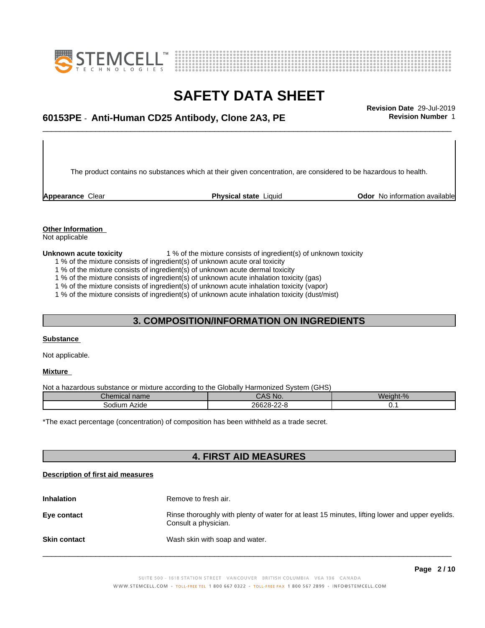



### \_\_\_\_\_\_\_\_\_\_\_\_\_\_\_\_\_\_\_\_\_\_\_\_\_\_\_\_\_\_\_\_\_\_\_\_\_\_\_\_\_\_\_\_\_\_\_\_\_\_\_\_\_\_\_\_\_\_\_\_\_\_\_\_\_\_\_\_\_\_\_\_\_\_\_\_\_\_\_\_\_\_\_\_\_\_\_\_\_\_\_\_\_ **Revision Date** 29-Jul-2019 **60153PE** - **Anti-Human CD25 Antibody, Clone 2A3, PE Revision Number** 1

The product contains no substances which at their given concentration, are considered to be hazardous to health.

**Appearance** Clear **Physical state** Liquid **Odor No information available Appearance** Clear

### **Other Information**

Not applicable

**Unknown acute toxicity** 1 % of the mixture consists of ingredient(s) of unknown toxicity

1 % of the mixture consists of ingredient(s) of unknown acute oral toxicity

1 % of the mixture consists of ingredient(s) of unknown acute dermal toxicity

1 % of the mixture consists of ingredient(s) of unknown acute inhalation toxicity (gas)

1 % of the mixture consists of ingredient(s) of unknown acute inhalation toxicity (vapor)

1 % of the mixture consists of ingredient(s) of unknown acute inhalation toxicity (dust/mist)

### **3. COMPOSITION/INFORMATION ON INGREDIENTS**

### **Substance**

Not applicable.

### **Mixture**

Not a hazardous substance or mixture according to the Globally Harmonized System (GHS)

| Chemical name     | CAS No.    | Weight-%    |
|-------------------|------------|-------------|
| Azide<br>Sodium ∧ | 26628-22-8 | <u>v. .</u> |

\*The exact percentage (concentration) of composition has been withheld as a trade secret.

### **4. FIRST AID MEASURES**

### **Description of first aid measures**

| <b>Inhalation</b>   | Remove to fresh air.                                                                                                    |
|---------------------|-------------------------------------------------------------------------------------------------------------------------|
| Eye contact         | Rinse thoroughly with plenty of water for at least 15 minutes, lifting lower and upper eyelids.<br>Consult a physician. |
| <b>Skin contact</b> | Wash skin with soap and water.                                                                                          |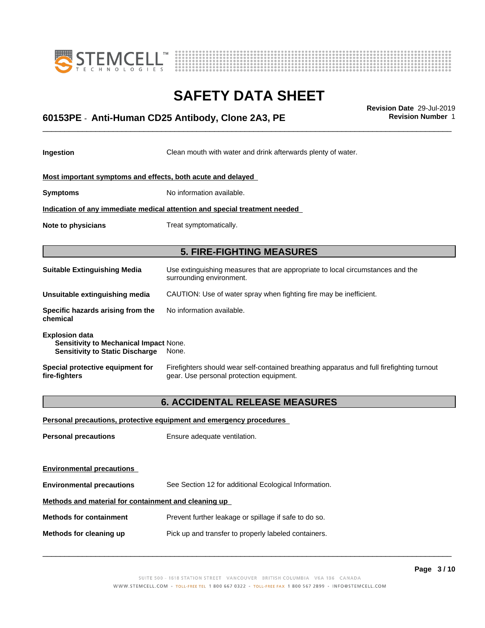



### \_\_\_\_\_\_\_\_\_\_\_\_\_\_\_\_\_\_\_\_\_\_\_\_\_\_\_\_\_\_\_\_\_\_\_\_\_\_\_\_\_\_\_\_\_\_\_\_\_\_\_\_\_\_\_\_\_\_\_\_\_\_\_\_\_\_\_\_\_\_\_\_\_\_\_\_\_\_\_\_\_\_\_\_\_\_\_\_\_\_\_\_\_ **Revision Date** 29-Jul-2019 **60153PE** - **Anti-Human CD25 Antibody, Clone 2A3, PE Revision Number** 1

**Ingestion** Clean mouth with water and drink afterwards plenty of water.

| Most important symptoms and effects, both acute and delayed |
|-------------------------------------------------------------|
|-------------------------------------------------------------|

**Symptoms** No information available.

**Indication of any immediate medical attention and special treatment needed**

**Note to physicians** Treat symptomatically.

**5. FIRE-FIGHTING MEASURES**

| <b>Suitable Extinguishing Media</b>                                                                              | Use extinguishing measures that are appropriate to local circumstances and the<br>surrounding environment.                            |
|------------------------------------------------------------------------------------------------------------------|---------------------------------------------------------------------------------------------------------------------------------------|
| Unsuitable extinguishing media                                                                                   | CAUTION: Use of water spray when fighting fire may be inefficient.                                                                    |
| Specific hazards arising from the<br>chemical                                                                    | No information available.                                                                                                             |
| <b>Explosion data</b><br><b>Sensitivity to Mechanical Impact None.</b><br><b>Sensitivity to Static Discharge</b> | None.                                                                                                                                 |
| Special protective equipment for<br>fire-fighters                                                                | Firefighters should wear self-contained breathing apparatus and full firefighting turnout<br>gear. Use personal protection equipment. |

### **6. ACCIDENTAL RELEASE MEASURES**

| Personal precautions, protective equipment and emergency procedures |
|---------------------------------------------------------------------|
| Ensure adequate ventilation.                                        |
|                                                                     |
|                                                                     |
| See Section 12 for additional Ecological Information.               |
| Methods and material for containment and cleaning up                |
| Prevent further leakage or spillage if safe to do so.               |
| Pick up and transfer to properly labeled containers.                |
|                                                                     |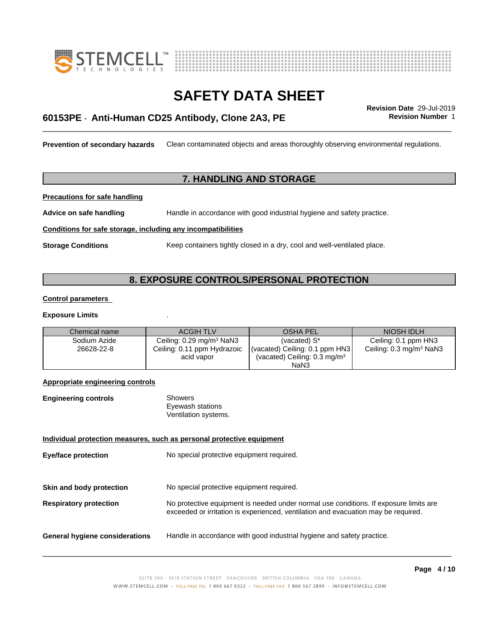



### \_\_\_\_\_\_\_\_\_\_\_\_\_\_\_\_\_\_\_\_\_\_\_\_\_\_\_\_\_\_\_\_\_\_\_\_\_\_\_\_\_\_\_\_\_\_\_\_\_\_\_\_\_\_\_\_\_\_\_\_\_\_\_\_\_\_\_\_\_\_\_\_\_\_\_\_\_\_\_\_\_\_\_\_\_\_\_\_\_\_\_\_\_ **Revision Date** 29-Jul-2019 **60153PE** - **Anti-Human CD25 Antibody, Clone 2A3, PE Revision Number** 1

**Prevention of secondary hazards** Clean contaminated objects and areas thoroughly observing environmental regulations.

### **7. HANDLING AND STORAGE**

**Precautions for safe handling**

**Advice on safe handling** Handle in accordance with good industrial hygiene and safety practice.

**Conditions for safe storage, including any incompatibilities**

**Storage Conditions** Keep containers tightly closed in a dry, cool and well-ventilated place.

### **8. EXPOSURE CONTROLS/PERSONAL PROTECTION**

#### **Control parameters**

#### **Exposure Limits** .

| Chemical name | <b>ACGIH TLV</b>                             | <b>OSHA PEL</b>                          | NIOSH IDLH                          |
|---------------|----------------------------------------------|------------------------------------------|-------------------------------------|
| Sodium Azide  | Ceiling: $0.29 \text{ mg/m}^3 \text{ NaN}^3$ | (vacated) $S^*$                          | Ceiling: 0.1 ppm HN3                |
| 26628-22-8    | Ceiling: 0.11 ppm Hydrazoic                  | (vacated) Ceiling: 0.1 ppm HN3           | Ceiling: 0.3 mg/m <sup>3</sup> NaN3 |
|               | acid vapor                                   | (vacated) Ceiling: 0.3 mg/m <sup>3</sup> |                                     |
|               |                                              | NaN <sub>3</sub>                         |                                     |

### **Appropriate engineering controls**

| <b>Engineering controls</b> | Showers              |  |
|-----------------------------|----------------------|--|
|                             | Eyewash stations     |  |
|                             | Ventilation systems. |  |

### **Individual protection measures, such as personal protective equipment**

**Eye/face protection** No special protective equipment required.

**Skin and body protection** No special protective equipment required.

**Respiratory protection** No protective equipment is needed under normal use conditions. If exposure limits are exceeded or irritation is experienced, ventilation and evacuation may be required.

**General hygiene considerations** Handle in accordance with good industrial hygiene and safety practice.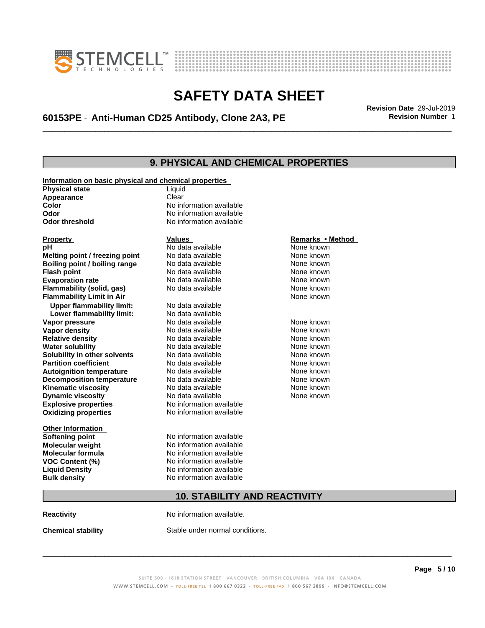



### \_\_\_\_\_\_\_\_\_\_\_\_\_\_\_\_\_\_\_\_\_\_\_\_\_\_\_\_\_\_\_\_\_\_\_\_\_\_\_\_\_\_\_\_\_\_\_\_\_\_\_\_\_\_\_\_\_\_\_\_\_\_\_\_\_\_\_\_\_\_\_\_\_\_\_\_\_\_\_\_\_\_\_\_\_\_\_\_\_\_\_\_\_ **Revision Date** 29-Jul-2019 **60153PE** - **Anti-Human CD25 Antibody, Clone 2A3, PE Revision Number** 1

### **9. PHYSICAL AND CHEMICAL PROPERTIES**

| Information on basic physical and chemical properties |                             |                                |
|-------------------------------------------------------|-----------------------------|--------------------------------|
| <b>Physical state</b>                                 | Liquid                      |                                |
| Appearance                                            | Clear                       |                                |
| Color                                                 | No information available    |                                |
| Odor                                                  | No information available    |                                |
| <b>Odor threshold</b>                                 | No information available    |                                |
|                                                       |                             |                                |
| <b>Property</b>                                       | Values<br>No data available | Remarks • Method<br>None known |
| рH                                                    | No data available           | None known                     |
| Melting point / freezing point                        | No data available           | None known                     |
| Boiling point / boiling range                         | No data available           | None known                     |
| <b>Flash point</b>                                    | No data available           | None known                     |
| <b>Evaporation rate</b><br>Flammability (solid, gas)  | No data available           | None known                     |
| <b>Flammability Limit in Air</b>                      |                             | None known                     |
|                                                       |                             |                                |
| <b>Upper flammability limit:</b>                      | No data available           |                                |
| Lower flammability limit:                             | No data available           |                                |
| Vapor pressure                                        | No data available           | None known                     |
| Vapor density                                         | No data available           | None known                     |
| <b>Relative density</b>                               | No data available           | None known                     |
| <b>Water solubility</b>                               | No data available           | None known                     |
| Solubility in other solvents                          | No data available           | None known                     |
| <b>Partition coefficient</b>                          | No data available           | None known                     |
| <b>Autoignition temperature</b>                       | No data available           | None known                     |
| <b>Decomposition temperature</b>                      | No data available           | None known                     |
| <b>Kinematic viscosity</b>                            | No data available           | None known                     |
| <b>Dynamic viscosity</b>                              | No data available           | None known                     |
| <b>Explosive properties</b>                           | No information available    |                                |
| <b>Oxidizing properties</b>                           | No information available    |                                |
| <b>Other Information</b>                              |                             |                                |
| <b>Softening point</b>                                | No information available    |                                |
| <b>Molecular weight</b>                               | No information available    |                                |
| <b>Molecular formula</b>                              | No information available    |                                |
| VOC Content (%)                                       | No information available    |                                |
| <b>Liquid Density</b>                                 | No information available    |                                |
| <b>Bulk density</b>                                   | No information available    |                                |
|                                                       |                             |                                |

#### **Remarks** • Method

### **10. STABILITY AND REACTIVITY**

**Reactivity No information available.** 

**Chemical stability** Stable under normal conditions.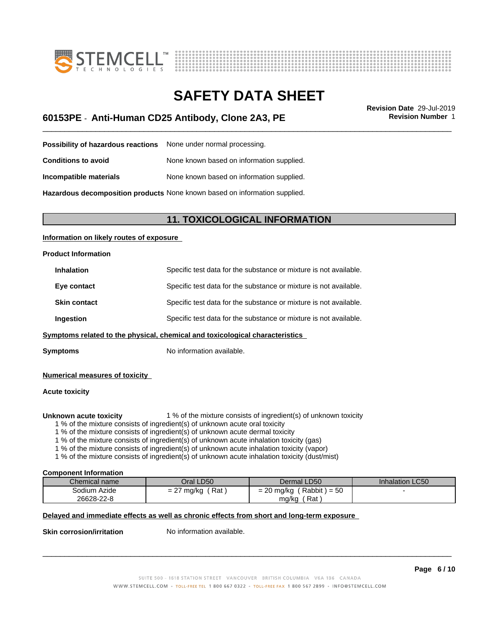



### \_\_\_\_\_\_\_\_\_\_\_\_\_\_\_\_\_\_\_\_\_\_\_\_\_\_\_\_\_\_\_\_\_\_\_\_\_\_\_\_\_\_\_\_\_\_\_\_\_\_\_\_\_\_\_\_\_\_\_\_\_\_\_\_\_\_\_\_\_\_\_\_\_\_\_\_\_\_\_\_\_\_\_\_\_\_\_\_\_\_\_\_\_ **Revision Date** 29-Jul-2019 **60153PE** - **Anti-Human CD25 Antibody, Clone 2A3, PE Revision Number** 1

**Possibility of hazardous reactions** None under normal processing. **Conditions to avoid** None known based on information supplied. **Incompatible materials** None known based on information supplied. **Hazardous decomposition products** None known based on information supplied.

### **11. TOXICOLOGICAL INFORMATION**

### **Information on likely routes of exposure**

# **Product Information**

|                     | mptomo related to the physical, ebemiesl and texicological ebergeteristics |
|---------------------|----------------------------------------------------------------------------|
| <b>Ingestion</b>    | Specific test data for the substance or mixture is not available.          |
| <b>Skin contact</b> | Specific test data for the substance or mixture is not available.          |
| Eye contact         | Specific test data for the substance or mixture is not available.          |
| <b>Inhalation</b>   | Specific test data for the substance or mixture is not available.          |

### **Symptoms related to the physical, chemical and toxicological characteristics**

**Symptoms** No information available.

### **Numerical measures of toxicity**

### **Acute toxicity**

**Unknown acute toxicity** 1 % of the mixture consists of ingredient(s) of unknown toxicity

1 % of the mixture consists of ingredient(s) of unknown acute oral toxicity

1 % of the mixture consists of ingredient(s) of unknown acute dermal toxicity

1 % of the mixture consists of ingredient(s) of unknown acute inhalation toxicity (gas)

1 % of the mixture consists of ingredient(s) of unknown acute inhalation toxicity (vapor)

1 % of the mixture consists of ingredient(s) of unknown acute inhalation toxicity (dust/mist)

#### **Component Information**

| Chemical name | Oral LD50                                       | Dermal LD50                                             | <b>Inhalation LC50</b> |
|---------------|-------------------------------------------------|---------------------------------------------------------|------------------------|
| Sodium Azide  | Rat<br>mg/ka<br>$\overline{\phantom{0}}$<br>. . | $\Gamma$<br>Rabbit)<br>$\sim$<br>= 20 mg/kg<br>$1 = 50$ |                        |
| 26628-22-8    |                                                 | ิ Rat .<br>ma/ka                                        |                        |

### **Delayed and immediate effects as well as chronic effects from short and long-term exposure**

**Skin corrosion/irritation** No information available.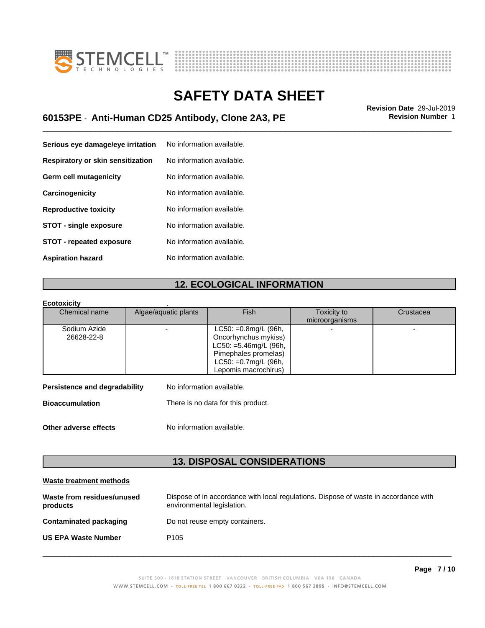



### \_\_\_\_\_\_\_\_\_\_\_\_\_\_\_\_\_\_\_\_\_\_\_\_\_\_\_\_\_\_\_\_\_\_\_\_\_\_\_\_\_\_\_\_\_\_\_\_\_\_\_\_\_\_\_\_\_\_\_\_\_\_\_\_\_\_\_\_\_\_\_\_\_\_\_\_\_\_\_\_\_\_\_\_\_\_\_\_\_\_\_\_\_ **Revision Date** 29-Jul-2019 **60153PE** - **Anti-Human CD25 Antibody, Clone 2A3, PE Revision Number** 1

| Serious eye damage/eye irritation | No information available. |
|-----------------------------------|---------------------------|
| Respiratory or skin sensitization | No information available. |
| Germ cell mutagenicity            | No information available. |
| Carcinogenicity                   | No information available. |
| <b>Reproductive toxicity</b>      | No information available. |
| <b>STOT - single exposure</b>     | No information available. |
| <b>STOT - repeated exposure</b>   | No information available. |
| <b>Aspiration hazard</b>          | No information available. |

### **12. ECOLOGICAL INFORMATION**

### **Ecotoxicity** .

| Chemical name | Algae/aquatic plants | <b>Fish</b>              | Toxicity to    | Crustacea |
|---------------|----------------------|--------------------------|----------------|-----------|
|               |                      |                          | microorganisms |           |
| Sodium Azide  |                      | $LC50: = 0.8$ mg/L (96h, |                |           |
| 26628-22-8    |                      | Oncorhynchus mykiss)     |                |           |
|               |                      | $LC50: =5.46$ mg/L (96h, |                |           |
|               |                      | Pimephales promelas)     |                |           |
|               |                      | LC50: =0.7mg/L (96h,     |                |           |
|               |                      | Lepomis macrochirus)     |                |           |

| <b>Bioaccumulation</b> | There is no data for this product. |
|------------------------|------------------------------------|

**Other adverse effects** No information available.

**13. DISPOSAL CONSIDERATIONS**

### **Waste treatment methods**

| Waste from residues/unused<br>products | Dispose of in accordance with local regulations. Dispose of waste in accordance with<br>environmental legislation. |
|----------------------------------------|--------------------------------------------------------------------------------------------------------------------|
| Contaminated packaging                 | Do not reuse empty containers.                                                                                     |
| <b>US EPA Waste Number</b>             | P <sub>105</sub>                                                                                                   |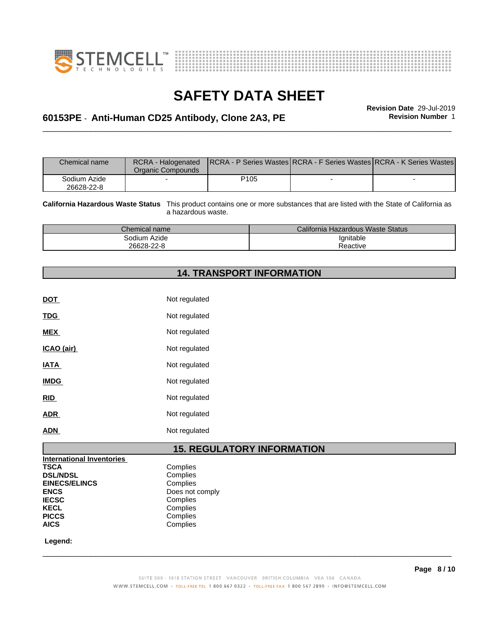



# **SAFETY DATA SHEET**<br>Revision Date 29-Jul-2019

### \_\_\_\_\_\_\_\_\_\_\_\_\_\_\_\_\_\_\_\_\_\_\_\_\_\_\_\_\_\_\_\_\_\_\_\_\_\_\_\_\_\_\_\_\_\_\_\_\_\_\_\_\_\_\_\_\_\_\_\_\_\_\_\_\_\_\_\_\_\_\_\_\_\_\_\_\_\_\_\_\_\_\_\_\_\_\_\_\_\_\_\_\_ **Revision Date** 29-Jul-2019 **60153PE** - **Anti-Human CD25 Antibody, Clone 2A3, PE Revision Number** 1

| <b>Chemical name</b>       | RCRA - Halogenated<br>Organic Compounds |                  | <b>IRCRA - P Series Wastes RCRA - F Series Wastes RCRA - K Series Wastes</b> |
|----------------------------|-----------------------------------------|------------------|------------------------------------------------------------------------------|
| Sodium Azide<br>26628-22-8 |                                         | P <sub>105</sub> |                                                                              |

**California Hazardous Waste Status** This product contains one or more substances that are listed with the State of California as a hazardous waste.

| <i>C</i> hemical name | California Hazardous Waste Status |  |
|-----------------------|-----------------------------------|--|
| <br>Azide<br>30dium   | 'qnitable                         |  |
| 26628-22-8            | leactive                          |  |

### **14. TRANSPORT INFORMATION**

| DOT         | Not regulated |
|-------------|---------------|
| <b>TDG</b>  | Not regulated |
| <b>MEX</b>  | Not regulated |
| ICAO (air)  | Not regulated |
| <b>IATA</b> | Not regulated |
| <b>IMDG</b> | Not regulated |
| <b>RID</b>  | Not regulated |
| <b>ADR</b>  | Not regulated |
| <b>ADN</b>  | Not regulated |
|             |               |

### **15. REGULATORY INFORMATION**

| <b>International Inventories</b> |            |
|----------------------------------|------------|
| <b>TSCA</b>                      | Complies   |
| <b>DSL/NDSL</b>                  | Complies   |
| <b>EINECS/ELINCS</b>             | Complies   |
| <b>ENCS</b>                      | Does not c |
| <b>IECSC</b>                     | Complies   |
| <b>KECL</b>                      | Complies   |
| <b>PICCS</b>                     | Complies   |
| <b>AICS</b>                      | Complies   |

**Complies** Complies **Complies ENCS** Does not comply **Complies Complies** Complies **AICS** Complies

 **Legend:**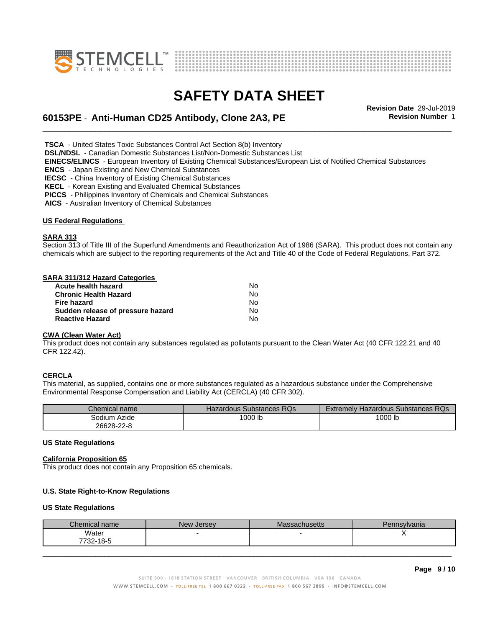



\_\_\_\_\_\_\_\_\_\_\_\_\_\_\_\_\_\_\_\_\_\_\_\_\_\_\_\_\_\_\_\_\_\_\_\_\_\_\_\_\_\_\_\_\_\_\_\_\_\_\_\_\_\_\_\_\_\_\_\_\_\_\_\_\_\_\_\_\_\_\_\_\_\_\_\_\_\_\_\_\_\_\_\_\_\_\_\_\_\_\_\_\_ **Revision Date** 29-Jul-2019 **60153PE** - **Anti-Human CD25 Antibody, Clone 2A3, PE Revision Number** 1

 **TSCA** - United States Toxic Substances Control Act Section 8(b) Inventory

 **DSL/NDSL** - Canadian Domestic Substances List/Non-Domestic Substances List

 **EINECS/ELINCS** - European Inventory of Existing Chemical Substances/European List of Notified Chemical Substances

 **ENCS** - Japan Existing and New Chemical Substances

 **IECSC** - China Inventory of Existing Chemical Substances

 **KECL** - Korean Existing and Evaluated Chemical Substances

 **PICCS** - Philippines Inventory of Chemicals and Chemical Substances

 **AICS** - Australian Inventory of Chemical Substances

#### **US Federal Regulations**

#### **SARA 313**

Section 313 of Title III of the Superfund Amendments and Reauthorization Act of 1986 (SARA). This product does not contain any chemicals which are subject to the reporting requirements of the Act and Title 40 of the Code of Federal Regulations, Part 372.

#### **SARA 311/312 Hazard Categories**

| Acute health hazard               | No. |  |
|-----------------------------------|-----|--|
| Chronic Health Hazard             | No. |  |
| Fire hazard                       | No. |  |
| Sudden release of pressure hazard | No. |  |
| <b>Reactive Hazard</b>            | N٥  |  |

### **CWA** (Clean Water Act)

This product does not contain any substances regulated as pollutants pursuant to the Clean Water Act (40 CFR 122.21 and 40 CFR 122.42).

### **CERCLA**

This material, as supplied, contains one or more substances regulated as a hazardous substance under the Comprehensive Environmental Response Compensation and Liability Act (CERCLA) (40 CFR 302).

| Chemical name | Hazardous Substances RQs | Extremely Hazardous Substances RQs |
|---------------|--------------------------|------------------------------------|
| Sodium Azide  | '000 lb                  | 1000 lb                            |
| 26628-22-8    |                          |                                    |

#### **US State Regulations**

#### **California Proposition 65**

This product does not contain any Proposition 65 chemicals.

#### **U.S. State Right-to-Know Regulations**

#### **US State Regulations**

| Chemical name      | New Jersey | Massachusetts | Pennsylvania |  |
|--------------------|------------|---------------|--------------|--|
| Water<br>7732-18-5 |            |               |              |  |
|                    |            |               |              |  |